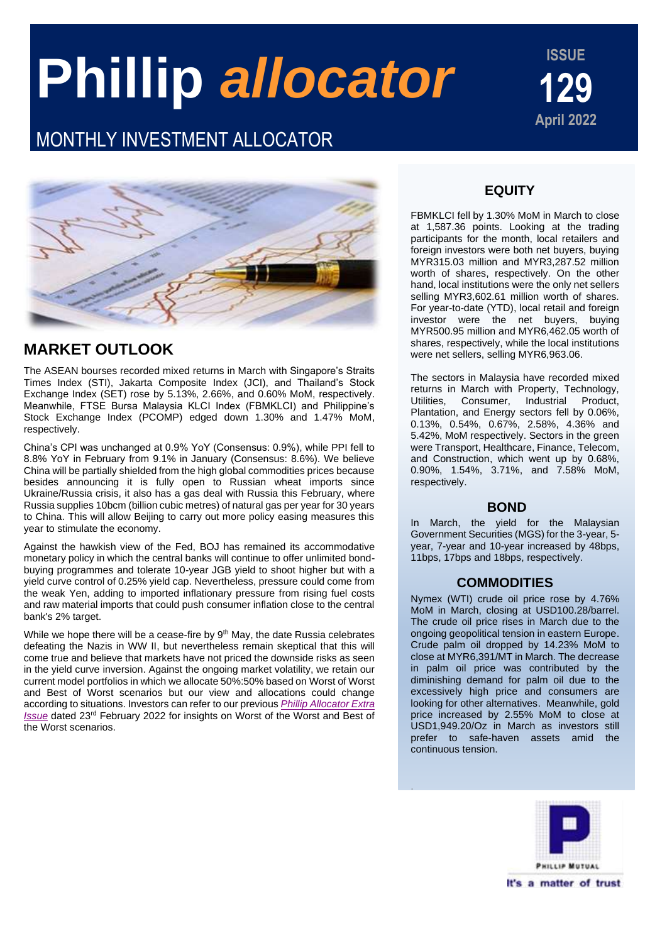# **Phillip** *allocator*

## MONTHLY INVESTMENT ALLOCATOR

**ISSUE**



## **MARKET OUTLOOK**

The ASEAN bourses recorded mixed returns in March with Singapore's Straits Times Index (STI), Jakarta Composite Index (JCI), and Thailand's Stock Exchange Index (SET) rose by 5.13%, 2.66%, and 0.60% MoM, respectively. Meanwhile, FTSE Bursa Malaysia KLCI Index (FBMKLCI) and Philippine's Stock Exchange Index (PCOMP) edged down 1.30% and 1.47% MoM, respectively.

China's CPI was unchanged at 0.9% YoY (Consensus: 0.9%), while PPI fell to 8.8% YoY in February from 9.1% in January (Consensus: 8.6%). We believe China will be partially shielded from the high global commodities prices because besides announcing it is fully open to Russian wheat imports since Ukraine/Russia crisis, it also has a gas deal with Russia this February, where Russia supplies 10bcm (billion cubic metres) of natural gas per year for 30 years to China. This will allow Beijing to carry out more policy easing measures this year to stimulate the economy.

Against the hawkish view of the Fed, BOJ has remained its accommodative monetary policy in which the central banks will continue to offer unlimited bondbuying programmes and tolerate 10-year JGB yield to shoot higher but with a yield curve control of 0.25% yield cap. Nevertheless, pressure could come from the weak Yen, adding to imported inflationary pressure from rising fuel costs and raw material imports that could push consumer inflation close to the central bank's 2% target.

While we hope there will be a cease-fire by  $9<sup>th</sup>$  May, the date Russia celebrates defeating the Nazis in WW II, but nevertheless remain skeptical that this will come true and believe that markets have not priced the downside risks as seen in the yield curve inversion. Against the ongoing market volatility, we retain our current model portfolios in which we allocate 50%:50% based on Worst of Worst and Best of Worst scenarios but our view and allocations could change according to situations. Investors can refer to our previous *[Phillip Allocator Extra](https://www.eunittrust.com.my/pdf/fundview/PhillipAllocatorEI_Feb2022.pdf)  [Issue](https://www.eunittrust.com.my/pdf/fundview/PhillipAllocatorEI_Feb2022.pdf)* dated 23rd February 2022 for insights on Worst of the Worst and Best of the Worst scenarios.

## **EQUITY**

FBMKLCI fell by 1.30% MoM in March to close at 1,587.36 points. Looking at the trading participants for the month, local retailers and foreign investors were both net buyers, buying MYR315.03 million and MYR3,287.52 million worth of shares, respectively. On the other hand, local institutions were the only net sellers selling MYR3,602.61 million worth of shares. For year-to-date (YTD), local retail and foreign investor were the net buyers, buying MYR500.95 million and MYR6,462.05 worth of shares, respectively, while the local institutions were net sellers, selling MYR6,963.06.

The sectors in Malaysia have recorded mixed returns in March with Property, Technology, Utilities, Consumer, Industrial Product, Plantation, and Energy sectors fell by 0.06%, 0.13%, 0.54%, 0.67%, 2.58%, 4.36% and 5.42%, MoM respectively. Sectors in the green were Transport, Healthcare, Finance, Telecom, and Construction, which went up by 0.68%, 0.90%, 1.54%, 3.71%, and 7.58% MoM, respectively.

### **BOND**

In March, the yield for the Malaysian Government Securities (MGS) for the 3-year, 5 year, 7-year and 10-year increased by 48bps, 11bps, 17bps and 18bps, respectively.

### **COMMODITIES**

Nymex (WTI) crude oil price rose by 4.76% MoM in March, closing at USD100.28/barrel. The crude oil price rises in March due to the ongoing geopolitical tension in eastern Europe. Crude palm oil dropped by 14.23% MoM to close at MYR6,391/MT in March. The decrease in palm oil price was contributed by the diminishing demand for palm oil due to the excessively high price and consumers are looking for other alternatives. Meanwhile, gold price increased by 2.55% MoM to close at USD1,949.20/Oz in March as investors still prefer to safe-haven assets amid the continuous tension.

.

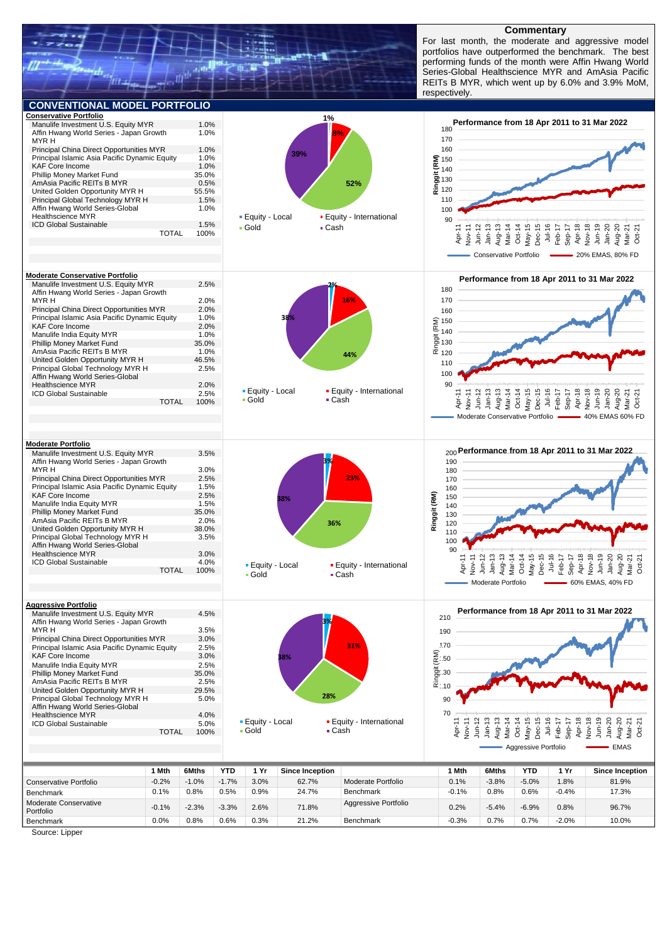

#### **Commentary**

For last month, the moderate and aggressive model portfolios have outperformed the benchmark. The best performing funds of the month were Affin Hwang World Series-Global Healthscience MYR and AmAsia Pacific REITs B MYR, which went up by 6.0% and 3.9% MoM, respectively.



Benchmark 0.0% 0.8% 0.6% 0.3% 21.2% Benchmark -0.3% 0.7% 0.7% -2.0% 10.0%

Source: Lipper